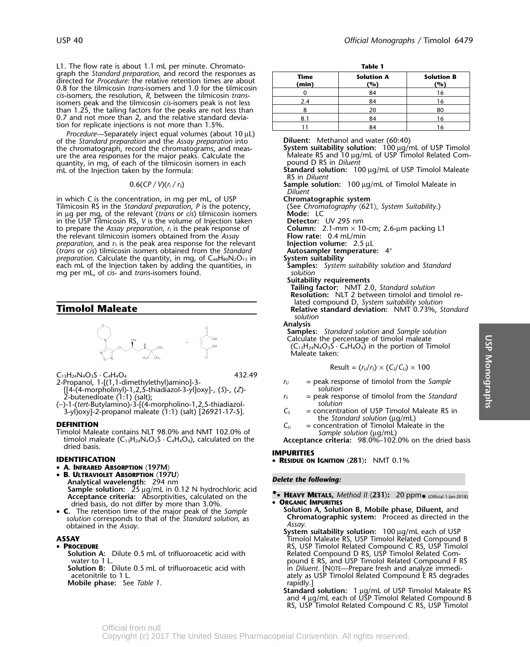L1. The flow rate is about 1.1 mL per minute. Chromato-<br>graph the Standard preparation, and record the responses as **Trange of Constanting Constant** directed for *Procedure:* the relative retention times are about<br>0.8 for the tilmicosin *trans*-isomers and 1.0 for the tilmicosin <sup>0</sup> <sup>84</sup> <sup>16</sup> *cis*-isomers, the resolution, *R,* between the tilmicosin *trans*isomers peak and the tilmicosin *cis*-isomers peak is not less than 1.25, the tailing factors for the peaks are not less than 0.7 and not more than 2, and the relative standard deviation for replicate injections is not more than 1.5%.

*Procedure—*Separately inject equal volumes (about 10 µL) of the *Standard preparation* and the *Assay preparation* into **Diluent:** Methanol and water (60:40)<br>the chromatograph, record the chromatograms, and meas-<br>**System suitability solution:** 100 µg/mL of USP Timolol the chromatograph, record the chromatograms, and meas-**System suitability solution:** 100 µg/mL of USP Timolol Related Com-<br>ure the area responses for the maior peaks. Calculate the Maleate RS and 10 µg/mL of USP Timolol Re ure the area responses for the major peaks. Calculate the Maleate RS and 10 µg/<br>quantity, in mg, of each of the tilmicosin isomers in each pound D RS in *Diluent* quantity, in mg, of each of the tilmicosin isomers in each mL of the Injection taken by the formula:

in which *C* is the concentration, in mg per mL, of USP **Chromatographic system** Tilmicosin RS in the *Standard preparation*, *P* is the potency, (See *Chromation* in ug per man. of the relevant *(trans or cis)* tilmicosin isomers (See *Chromation*) in µg per mg, of the relevant (*trans* or *cis*) tilmicosin isomers in the USP Tilmicosin RS, V is the volume of Injection taken<br>to prepare the Assay preparation, r<sub>i</sub> is the peak response of **Column:** 2.1-mm × 10-cm; 2.6in the USP Tilmicosin RS, *V* is the volume of Injection taken to prepare the *Assay preparation*,  $r<sub>1</sub>$  is the peak response of the relevant tilmicosin isomers obtained from the *Assay* **Flow rate:** 0.4 mL/min *preparation,* and  $r_s$  is the peak area response for the relevant **Injection volume:** 2.5 µL *preparation*, and *<sup>r</sup>S* is the peak area response for the relevant **Injection volume:** 2.5 µL *(trans* or *cis*) tilmicosin isomers obtained from the *Standard* **Autosampler tem** *Autosampler tem preparation.* Calculate the quantity, in mq, of C<sub>46</sub>H<sub>80</sub>N<sub>2</sub>O<sub>13</sub> in **System suitability** *preparation.* Calculate the quantity, in mg, of C<sub>46</sub>H<sub>80</sub>N<sub>2</sub>O<sub>13</sub> in **System suitability**<br>each mL of the Injection taken by adding the quantities, in **Samples:** System suitability solution and Standard each mL of the Injection taken by adding the quantities, in **Samples**<br>ma per mL, of *cis-* and *trans-*isomers found. mg per mL, of *cis-* and *trans-isomers* found.



 $C_{13}H_{24}N_4O_3S \cdot C_4H_4O_4$  432.49

- [[4-(4-morpholinyl)-1,2,5-thiadiazol-3-yl]oxy]-, (*S*)-, (*Z*)- *solution*  $\overline{2}$ -butenedioate (1:1) (salt);  $\overline{S}$  = peak response of timolol from the *Standard*
- (−)-1-(*tert*-Butylamino)-3-[(4-morpholino-1,2,5-thiadiazol- *solution* 3-yl)oxy]-2-propanol maleate (1:1) (salt) [26921-17-5]. *<sup>C</sup><sup>S</sup>* = concentration of USP Timolol Maleate RS in

molol Maleate contains NLT 98.0% and NMT 102.0% of *Sample solution* (µg/mL)<br>timolol maleate (C<sub>13</sub>H<sub>24</sub>N<sub>4</sub>O<sub>3</sub>S · C<sub>4</sub>H<sub>4</sub>O<sub>4</sub>), calculated on the **Acceptance criteria:** 98.0%–102.0% on the dried basis dried basis.

## **IDENTIFICATION**

- **A. INFRARED ABSORPTION** 〈**197M**〉
- **B. ULTRAVIOLET ABSORPTION** 〈**197U**〉 **Analytical wavelength:** *Delete the following:* 294 nm **Sample solution:** 25 µg/mL in 0.12 N hydrochloric acid **Acceptance criteria:** Absorptivities, calculated on the **•.**• **<sup>H</sup>EAVY METALS,** *Method II* 〈**231**〉**:**<sup>20</sup> ppm• (Official 1-Jan-2018) dried basis, do not differ by more than 3.0%.<br>The retention time of the major peak of the *Sample* **CORGANIC IMPURITIES**<br>The retention time of the major peak of the *Sample* Solution A, Solution B, Mobile phase, Diluent, a
- **<sup>C</sup>.** The retention time of the major peak of the *Sample* **Solution A, Solution B, Mobile phase, Diluent,** and *solution* corresponds to that of the *Standard solution*, as **Chromatographic system:** Proceed as directed in the

## •

**Solution A:** Dilute 0.5 mL of trifluoroacetic acid with Related Compound D RS, USP Timolol Related Com-

**Solution B:** Dilute 0.5 mL of trifluoroacetic acid with acetonitrile to 1 L. **Mobile phase:** See Table 1. **rapidly.**]

| Time<br>(min) | <b>Solution A</b><br>'%) | <b>Solution B</b><br>(%) |
|---------------|--------------------------|--------------------------|
|               | 84                       | 16                       |
| 2.4           | 84                       | 16                       |
|               | 20                       | 80                       |
|               | 84                       | 16                       |
|               | 84                       |                          |

- 
- Standard solution: 100 µg/mL of USP Timolol Maleate RS in *Diluent*
- 0.6(*CP / V*)(*<sup>r</sup><sup>I</sup> / <sup>r</sup>S*) **Sample solution:** 100 µg/mL of Timolol Maleate in *Diluent*

- 
- 
- 
- 
- 
- **Suitability requirements**
- **Tailing factor:** NMT 2.0, *Standard solution* **Resolution:** NLT 2 between timolol and timolol re lated compound D, *System suitability solution* **Timolol Maleate Relative standard deviation:** NMT 0.73%, *Standard solution*

**Analysis**

**Samples:** *Standard solution* and *Sample solution* Calculate the percentage of timolol maleate  $(C_{13}H_{24}N_{4}O_{3}S \cdot C_{4}H_{4}O_{4})$  in the portion of Timolol Maleate taken:

$$
Result = (r_U/r_S) \times (C_S/C_U) \times 100
$$

- 2-Propanol, 1-[(1,1-dimethylethyl)amino]-3- *<sup>r</sup><sup>U</sup>* = peak response of timolol from the *Sample*
	-
	-
- $\begin{array}{rcl}\n\text{S}\n\text{S}\n\text{S}\n\end{array}\n\text{The Standard solution (µg/ml) } \begin{array}{rcl}\n\text{The Standard solution (µg/ml) } \\
\text{The Standard solution (µg/ml) } \\
\text{The Standard solution (µg/ml) } \\
\text{The standard solution (µg/ml) } \\
\text{The standard solution (µg/ml) } \\
\text{The standard solution (µg/ml) } \\
\text{The standard solution (µg/ml) } \\
\text{The standard solution (µg/ml) } \\
\text{The standard solution (µg/ml) } \\
\text{The standard solution (µg/ml) } \\
\text{The standard solution (µg/ml) } \\
\text{The standard solution (µg/ml) } \\
\text{The standard solution (µg/ml$

## **IMPURITIES**

**RESIDUE ON IGNITION** 〈**281**〉**:** NMT 0.1%

- -
- obtained in the *Assay Assay*. . **System suitability solution:**<sup>100</sup> <sup>µ</sup>g/mL each of USP **ASSAY** Timolol Maleate RS, USP Timolol Related Compound B • PROCEDURE **RIGE REPORTS THE RELATION OF STATES AND RELATIONS** RS, USP Timolol Related Compound C RS, USP Timolol water to 1 L. pound E RS, and USP Timolol Related Compound F RS acetonitrile to 1 L. ately as USP Timolol Related Compound E RS degrades
	- **Standard solution:** 1 µg/mL of USP Timolol Maleate RS and 4 µg/mL each of USP Timolol Related Compound B RS, USP Timolol Related Compound C RS, USP Timolol